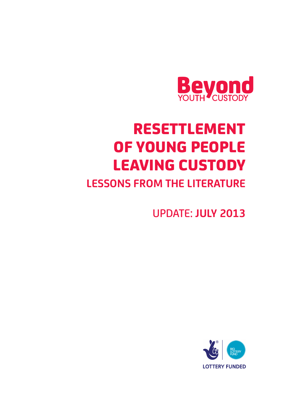

# RESETTLEMENT OF YOUNG PEOPLE LEAVING CUSTODY

## **LESSONS FROM THE LITERATURE**

UPDATE: **JULY 2013**

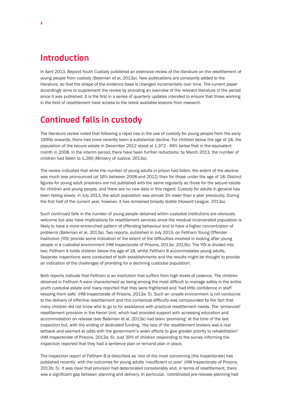#### **Introduction**

In April 2013, Beyond Youth Custody published an extensive review of the literature on the resettlement of young people from custody (Bateman et al, 2013a). New publications are constantly added to the literature, so that the shape of the evidence base is changed incrementally over time. The current paper accordingly aims to supplement the review by providing an overview of the relevant literature in the period since it was published. It is the first in a series of quarterly updates intended to ensure that those working in the field of resettlement have access to the latest available lessons from research.

#### **Continued falls in custody**

The literature review noted that following a rapid rise in the use of custody for young people from the early 1990s onwards, there had more recently been a substantial decline. For children below the age of 18, the population of the secure estate in December 2012 stood at 1,372 - 49% below that in the equivalent month in 2008. In the interim period, there have been further reductions: by March 2013, the number of children had fallen to 1,290 (Ministry of Justice, 2013a).

The review indicated that while the number of young adults in prison had fallen, the extent of the decline was much less pronounced (at 16% between 2008 and 2012) than for those under the age of 18. Distinct figures for young adult prisoners are not published with the same regularity as those for the secure estate for children and young people, and there are no new data in this regard. Custody for adults in general has been falling slowly: in July 2013, the adult population was almost 3% lower than a year previously. During the first half of the current year, however, it has remained broadly stable (Howard League, 2013a).

Such continued falls in the number of young people detained within custodial institutions are obviously welcome but also have implications for resettlement services since the residual incarcerated population is likely to have a more entrenched pattern of offending behaviour and to have a higher concentration of problems (Bateman et al, 2013a). Two reports, published in July 2013, on Feltham Young Offender Institution (YOI) provide some indication of the extent of the difficulties involved in looking after young people in a custodial environment (HM Inspectorate of Prisons, 2013a; 2013b). The YOI is divided into two: Feltham A holds children below the age of 18, whilst Feltham B accommodates young adults. Separate inspections were conducted of both establishments and the results might be thought to provide an indication of the challenges of providing for a declining custodial population.

Both reports indicate that Feltham is an institution that suffers from high levels of violence. The children detained in Feltham A were characterised as being among the most difficult to manage safely in the entire youth custodial estate and many reported that they were frightened and 'had little confidence in staff keeping them safe' (HM Inspectorate of Prisons, 2013a: 5). Such an unsafe environment is not conducive to the delivery of effective resettlement and this contextual difficulty was compounded by the fact that many children did not know who to go to for assistance with practical resettlement needs. The 'enhanced' resettlement provision in the Heron Unit, which had provided support with accessing education and accommodation on release (see Bateman et al, 2013a) had been 'promising' at the time of the last inspection but, with the ending of dedicated funding, 'the loss of the resettlement brokers was a real setback and seemed at odds with the government's wider efforts to give greater priority to rehabilitation' (HM Inspectorate of Prisons, 2013a: 6). Just 30% of children responding to the survey informing the inspection reported that they had a sentence plan or remand plan in place.

The inspection report of Feltham B is described as 'one of the most concerning [the Inspectorate] has published recently' with the outcomes for young adults 'insufficient or poor' (HM Inspectorate of Prisons, 2013b: 5). It was clear that provision had deteriorated considerably and, in terms of resettlement, there was a significant gap between planning and delivery. In particular, 'coordinated pre-release planning had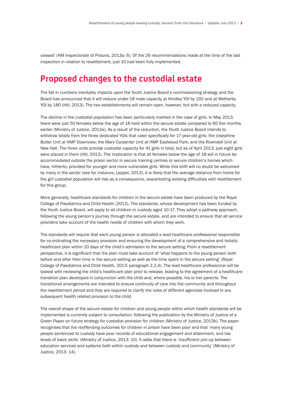ceased' (HM Inspectorate of Prisons, 2013a: 6). Of the 26 recommendations made at the time of the last inspection in relation to resettlement, just 10 had been fully implemented.

#### **Proposed changes to the custodial estate**

The fall in numbers inevitably impacts upon the Youth Justice Board's commissioning strategy and the Board has announced that it will reduce under-18 male capacity at Hindley YOI by 192 and at Wetherby YOI by 180 (Hill, 2013). The two establishments will remain open, however, but with a reduced capacity.

The decline in the custodial population has been particularly marked in the case of girls. In May 2013, there were just 50 females below the age of 18 held within the secure estate compared to 60 five months earlier (Ministry of Justice, 2013a). As a result of the reduction, the Youth Justice Board intends to withdraw totally from the three dedicated YOIs that cater specifically for 17-year-old girls: the Josephine Butler Unit at HMP Downview; the Mary Carpenter Unit at HMP Eastwood Park; and the Rivendell Unit at New Hall. The three units provide custodial capacity for 41 girls in total, but as of April 2013, just eight girls were placed in them (Hill, 2013). The implication is that all females below the age of 18 will in future be accommodated outside the prison sector in secure training centres or secure children's homes which have, hitherto, provided for younger and more vulnerable girls. While this shift will no doubt be welcomed by many in the sector (see for instance, Lepper, 2013), it is likely that the average distance from home for the girl custodial population will rise as a consequence, exacerbating existing difficulties with resettlement for this group.

More generally, healthcare standards for children in the secure estate have been produced by the Royal College of Paediatrics and Child Health (2013). The standards, whose development has been funded by the Youth Justice Board, will apply to all children in custody aged 10-17. They adopt a pathway approach, following the young person's journey through the secure estate, and are intended to ensure that all service providers take account of the health needs of children with whom they work.

The standards will require that each young person is allocated a lead healthcare professional responsible for co-ordinating the necessary provision and ensuring the development of a comprehensive and holistic healthcare plan within 10 days of the child's admission to the secure setting. From a resettlement perspective, it is significant that the plan must take account of 'what happens to the young person both before and after their time in the secure setting as well as the time spent in the secure setting' (Royal College of Paediatrics and Child Health, 2013: paragraph 2.2.4). The lead healthcare professional will be tasked with reviewing the child's healthcare plan prior to release, leading to the agreement of a healthcare transition plan developed in conjunction with the child and, where possible, his or her parents. The transitional arrangements are intended to ensure continuity of care into the community and throughout the resettlement period and they are required to clarify the roles of different agencies involved in any subsequent health related provision to the child.

The overall shape of the secure estate for children and young people within which health standards will be implemented is currently subject to consultation, following the publication by the Ministry of Justice of a Green Paper on future strategy for custodial provision for children (Ministry of Justice, 2013b). The paper recognises that the reoffending outcomes for children in prison have been poor and that 'many young people sentenced to custody have poor records of educational engagement and attainment, and low levels of basic skills' (Ministry of Justice, 2013: 10). It adds that there is 'insufficient join-up between education services and systems both within custody and between custody and community' (Ministry of Justice, 2013: 14).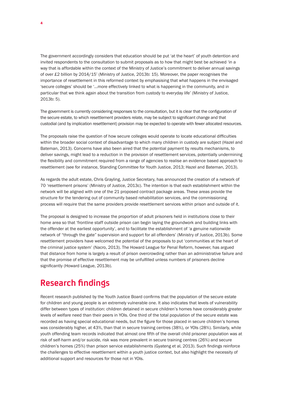The government accordingly considers that education should be put 'at the heart' of youth detention and invited respondents to the consultation to submit proposals as to how that might best be achieved 'in a way that is affordable within the context of the Ministry of Justice's commitment to deliver annual savings of over £2 billion by 2014/15' (Ministry of Justice, 2013b: 15). Moreover, the paper recognises the importance of resettlement in this reformed context by emphasising that what happens in the envisaged 'secure colleges' should be '…more effectively linked to what is happening in the community, and in particular that we think again about the transition from custody to everyday life' (Ministry of Justice, 2013b: 5).

The government is currently considering responses to the consultation, but it is clear that the configuration of the secure estate, to which resettlement providers relate, may be subject to significant change and that custodial (and by implication resettlement) provision may be expected to operate with fewer allocated resources.

The proposals raise the question of how secure colleges would operate to locate educational difficulties within the broader social context of disadvantage to which many children in custody are subject (Hazel and Bateman, 2013). Concerns have also been aired that the potential payment by results mechanisms, to deliver savings, might lead to a reduction in the provision of resettlement services, potentially undermining the flexibility and commitment required from a range of agencies to realise an evidence based approach to resettlement (see for instance, Standing Committee for Youth Justice, 2013; Hazel and Bateman, 2013).

As regards the adult estate, Chris Grayling, Justice Secretary, has announced the creation of a network of 70 'resettlement prisons' (Ministry of Justice, 2013c). The intention is that each establishment within the network will be aligned with one of the 21 proposed contract package areas. These areas provide the structure for the tendering out of community based rehabilitation services, and the commissioning process will require that the same providers provide resettlement services within prison and outside of it.

The proposal is designed to increase the proportion of adult prisoners held in institutions close to their home area so that 'frontline staff outside prison can begin laying the groundwork and building links with the offender at the earliest opportunity', and to facilitate the establishment of 'a genuine nationwide network of "through the gate" supervision and support for all offenders' (Ministry of Justice, 2013b). Some resettlement providers have welcomed the potential of the proposals to put 'communities at the heart of the criminal justice system' (Nacro, 2013). The Howard League for Penal Reform, however, has argued that distance from home is largely a result of prison overcrowding rather than an administrative failure and that the promise of effective resettlement may be unfulfilled unless numbers of prisoners decline significantly (Howard League, 2013b).

### **Research findings**

Recent research published by the Youth Justice Board confirms that the population of the secure estate for children and young people is an extremely vulnerable one. It also indicates that levels of vulnerability differ between types of institution: children detained in secure children's homes have considerably greater levels of welfare need than their peers in YOIs. One third of the total population of the secure estate was recorded as having special educational needs, but the figure for those placed in secure children's homes was considerably higher, at 43%, than that in secure training centres (38%), or YOIs (28%). Similarly, while youth offending team records indicated that almost one fifth of the overall child prisoner population was at risk of self-harm and/or suicide, risk was more prevalent in secure training centres (26%) and secure children's homes (25%) than prison service establishments (Gyateng et al, 2013). Such findings reinforce the challenges to effective resettlement within a youth justice context, but also highlight the necessity of additional support and resources for those not in YOIs.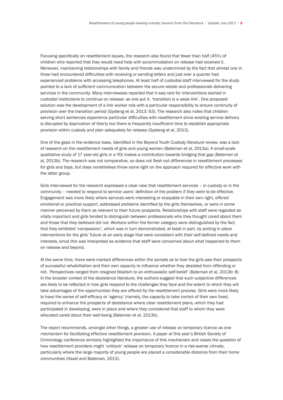Focusing specifically on resettlement issues, the research also found that fewer than half (45%) of children who reported that they would need help with accommodation on release had received it. Moreover, maintaining relationships with family and friends was undermined by the fact that almost one in three had encountered difficulties with receiving or sending letters and just over a quarter had experienced problems with accessing telephones. At least half of custodial staff interviewed for the study pointed to a lack of sufficient communication between the secure estate and professionals delivering services in the community. Many interviewees reported that it was rare for interventions started in custodial institutions to continue on release: as one put it, 'transition is a weak link'. One proposed solution was the development of a link worker role with a particular responsibility to ensure continuity of provision over the transition period (Gyateng et al, 2013: 63). The research also notes that children serving short sentences experience particular difficulties with resettlement since existing service delivery is disrupted by deprivation of liberty but there is frequently insufficient time to establish appropriate provision within custody and plan adequately for release (Gyateng et al, 2013).

One of the gaps in the evidence base, identified in the Beyond Youth Custody literature review, was a lack of research on the resettlement needs of girls and young women (Bateman et al, 2013a). A small-scale qualitative study of 17 year-old girls in a YOI makes a contribution towards bridging that gap (Bateman et al, 2013b). The research was not comparative, so does not flesh out differences in resettlement processes for girls and boys, but does nonetheless throw some light on the approach required for effective work with the latter group.

Girls interviewed for the research expressed a clear view that resettlement services – in custody or in the community – needed to respond to service users' definition of the problem if they were to be effective. Engagement was more likely where services were interesting or enjoyable in their own right, offered emotional or practical support, addressed problems identified by the girls themselves, or were in some manner perceived by them as relevant to their future prospects. Relationships with staff were regarded as vitally important and girls tended to distinguish between professionals who they thought cared about them and those that they believed did not. Workers within the former category were distinguished by the fact that they exhibited 'compassion', which was in turn demonstrated, at least in part, by putting in place interventions for the girls' future at an early stage that were consistent with their self-defined needs and interests, since this was interpreted as evidence that staff were concerned about what happened to them on release and beyond.

At the same time, there were marked differences within the sample as to how the girls saw their prospects of successful rehabilitation and their own capacity to influence whether they desisted from offending or not. 'Perspectives ranged from resigned fatalism to an enthusiastic self-belief' (Bateman et al, 2013b: 8) In the broader context of the desistance literature, the authors suggest that such subjective differences are likely to be reflected in how girls respond to the challenges they face and the extent to which they will take advantages of the opportunities they are offered by the resettlement process. Girls were more likely to have the sense of self-efficacy or 'agency' (namely, the capacity to take control of their own lives) required to enhance the prospects of desistance where clear resettlement plans, which they had participated in developing, were in place and where they considered that staff to whom they were allocated cared about their well-being (Bateman et al, 2013b).

The report recommends, amongst other things, a greater use of release on temporary licence as one mechanism for facilitating effective resettlement provision. A paper at this year's British Society of Criminology conference similarly highlighted the importance of this mechanism and raises the question of how resettlement providers might 'unblock' release on temporary licence in a risk-averse climate, particularly where the large majority of young people are placed a considerable distance from their home communities (Hazel and Bateman, 2013).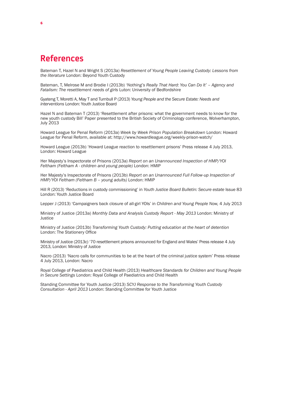#### **References**

Bateman T, Hazel N and Wright S (2013a) *Resettlement of Young People Leaving Custody: Lessons from the literature* London: Beyond Youth Custody

Bateman, T, Melrose M and Brodie I (2013b) *'Nothing's Really That Hard: You Can Do It' – Agency and Fatalism: The resettlement needs of girls* Luton: University of Bedfordshire

Gyateng T, Moretti A, May T and Turnbull P (2013) *Young People and the Secure Estate: Needs and interventions* London: Youth Justice Board

Hazel N and Bateman T (2013) 'Resettlement after prisons: what the government needs to know for the new youth custody Bill' Paper presented to the British Society of Criminology conference, Wolverhampton, July 2013

Howard League for Penal Reform (2013a) *Week by Week Prison Population Breakdown* London: Howard League for Penal Reform, available at: http://www.howardleague.org/weekly-prison-watch/

Howard League (2013b) 'Howard League reaction to resettlement prisons' Press release 4 July 2013, London: Howard League

Her Majesty's Inspectorate of Prisons (2013a) *Report on an Unannounced Inspection of HMP/YOI Feltham (Feltham A - children and young people)* London: HMIP

Her Majesty's Inspectorate of Prisons (2013b) *Report on an Unannounced Full Follow-up Inspection of HMP/YOI Feltham (Feltham B – young adults)* London: HMIP

Hill R (2013) 'Reductions in custody commissioning' in *Youth Justice Board Bulletin: Secure estate* Issue 83 London: Youth Justice Board

Lepper J (2013) 'Campaigners back closure of all-girl YOIs' in *Children and Young People Now,* 4 July 2013

Ministry of Justice (2013a) *Monthly Data and Analysis Custody Report - May 2013* London: Ministry of **Justice** 

Ministry of Justice (2013b) *Transforming Youth Custody: Putting education at the heart of detention* London: The Stationery Office

Ministry of Justice (2013c) '70 resettlement prisons announced for England and Wales' Press release 4 July 2013, London: Ministry of Justice

Nacro (2013) 'Nacro calls for communities to be at the heart of the criminal justice system' Press release 4 July 2013, London: Nacro

Royal College of Paediatrics and Child Health (2013) *Healthcare Standards for Children and Young People in Secure Settings* London: Royal College of Paediatrics and Child Health

Standing Committee for Youth Justice (2013) *SCYJ Response to the Transforming Youth Custody Consultation - April 2013* London: Standing Committee for Youth Justice